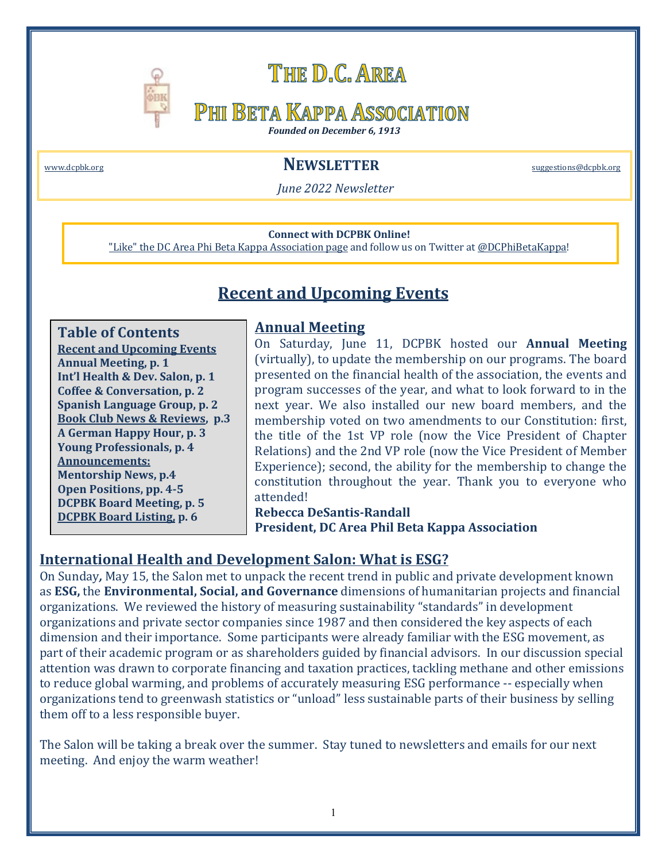

# THE D.C. AREA

## **PHI BETA KAPPA ASSOCIATION**

*Founded on December 6, 1913*

### www.dcpbk.org **Same Contract Contract Contract Contract Contract Contract Contract Contract Contract Contract Contract Contract Contract Contract Contract Contract Contract Contract Contract Contract Contract Contract Cont**

*June 2022 Newsletter*

#### **Connect with DCPBK Online!**

"Like" the DC Area Phi Beta Kappa Association page and follow us on Twitter at @DCPhiBetaKappa!

## **Recent and Upcoming Events**

**Table of Contents Recent and Upcoming Events Annual Meeting, p. 1 Int'l Health & Dev. Salon, p. 1 Coffee & Conversation, p. 2 Spanish Language Group, p. 2 Book Club News & Reviews, p.3 A German Happy Hour, p. 3 Young Professionals, p. 4 Announcements: Mentorship News, p.4 Open Positions, pp. 4-5 DCPBK Board Meeting, p. 5 DCPBK Board Listing, p. 6**

### **Annual Meeting**

On Saturday, June 11, DCPBK hosted our **Annual Meeting** (virtually), to update the membership on our programs. The board presented on the financial health of the association, the events and program successes of the year, and what to look forward to in the next year. We also installed our new board members, and the membership voted on two amendments to our Constitution: first, the title of the 1st VP role (now the Vice President of Chapter Relations) and the 2nd VP role (now the Vice President of Member Experience); second, the ability for the membership to change the constitution throughout the year. Thank you to everyone who attended!

## **Rebecca DeSantis-Randall**

**President, DC Area Phil Beta Kappa Association**

#### **International Health and Development Salon: What is ESG?**

On Sunday, May 15, the Salon met to unpack the recent trend in public and private development known as **ESG**, the **Environmental, Social, and Governance** dimensions of humanitarian projects and financial organizations. We reviewed the history of measuring sustainability "standards" in development organizations and private sector companies since 1987 and then considered the key aspects of each dimension and their importance. Some participants were already familiar with the ESG movement, as part of their academic program or as shareholders guided by financial advisors. In our discussion special attention was drawn to corporate financing and taxation practices, tackling methane and other emissions to reduce global warming, and problems of accurately measuring ESG performance -- especially when organizations tend to greenwash statistics or "unload" less sustainable parts of their business by selling them off to a less responsible buyer.

The Salon will be taking a break over the summer. Stay tuned to newsletters and emails for our next meeting. And enjoy the warm weather!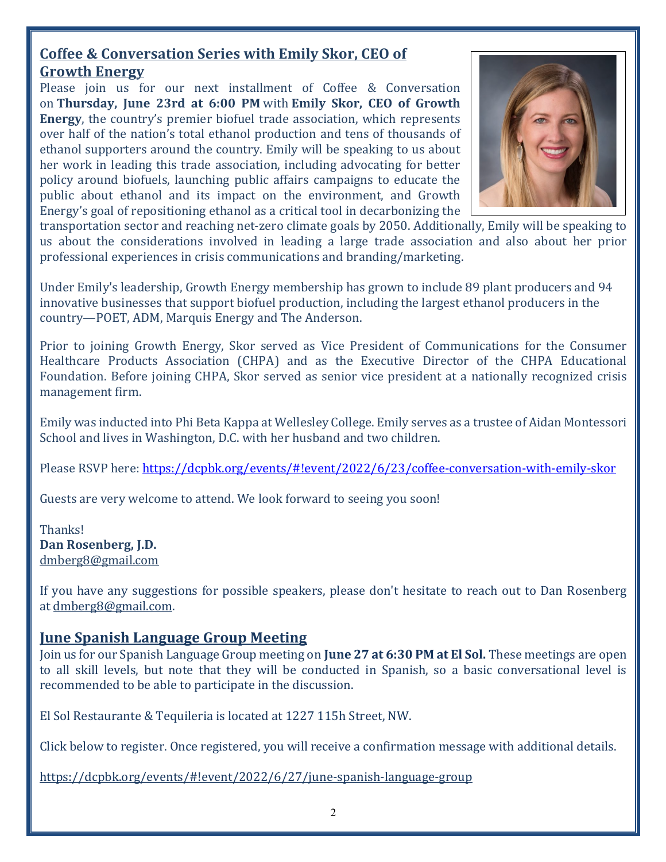## **Coffee & Conversation Series with Emily Skor, CEO of Growth Energy**

Please join us for our next installment of Coffee  $\&$  Conversation on **Thursday, June 23rd at 6:00 PM** with **Emily Skor, CEO of Growth Energy**, the country's premier biofuel trade association, which represents over half of the nation's total ethanol production and tens of thousands of ethanol supporters around the country. Emily will be speaking to us about her work in leading this trade association, including advocating for better policy around biofuels, launching public affairs campaigns to educate the public about ethanol and its impact on the environment, and Growth Energy's goal of repositioning ethanol as a critical tool in decarbonizing the



transportation sector and reaching net-zero climate goals by 2050. Additionally, Emily will be speaking to us about the considerations involved in leading a large trade association and also about her prior professional experiences in crisis communications and branding/marketing.

Under Emily's leadership, Growth Energy membership has grown to include 89 plant producers and 94 innovative businesses that support biofuel production, including the largest ethanol producers in the country—POET, ADM, Marquis Energy and The Anderson.

Prior to joining Growth Energy, Skor served as Vice President of Communications for the Consumer Healthcare Products Association (CHPA) and as the Executive Director of the CHPA Educational Foundation. Before joining CHPA, Skor served as senior vice president at a nationally recognized crisis management firm.

Emily was inducted into Phi Beta Kappa at Wellesley College. Emily serves as a trustee of Aidan Montessori School and lives in Washington, D.C. with her husband and two children.

Please RSVP here: https://dcpbk.org/events/#!event/2022/6/23/coffee-conversation-with-emily-skor

Guests are very welcome to attend. We look forward to seeing you soon!

Thanks! Dan Rosenberg, J.D. dmberg8@gmail.com

If you have any suggestions for possible speakers, please don't hesitate to reach out to Dan Rosenberg at dmberg8@gmail.com.

### **<u>June Spanish Language Group Meeting</u>**

Join us for our Spanish Language Group meeting on **June 27 at 6:30 PM at El Sol.** These meetings are open to all skill levels, but note that they will be conducted in Spanish, so a basic conversational level is recommended to be able to participate in the discussion.

El Sol Restaurante & Tequileria is located at 1227 115h Street, NW.

Click below to register. Once registered, you will receive a confirmation message with additional details.

https://dcpbk.org/events/#!event/2022/6/27/june-spanish-language-group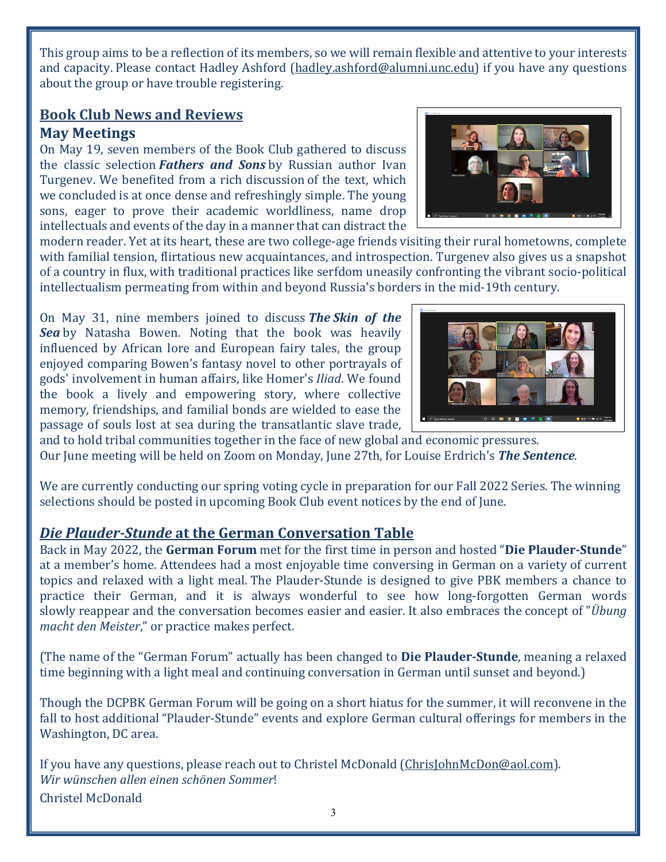This group aims to be a reflection of its members, so we will remain flexible and attentive to your interests and capacity. Please contact Hadley Ashford (hadley.ashford@alumni.unc.edu) if you have any questions about the group or have trouble registering.

### **Book Club News and Reviews May Meetings**

On May 19, seven members of the Book Club gathered to discuss the classic selection *Fathers* and Sons by Russian author Ivan Turgenev. We benefited from a rich discussion of the text, which we concluded is at once dense and refreshingly simple. The young sons, eager to prove their academic worldliness, name drop intellectuals and events of the day in a manner that can distract the



modern reader. Yet at its heart, these are two college-age friends visiting their rural hometowns, complete with familial tension, flirtatious new acquaintances, and introspection. Turgenev also gives us a snapshot of a country in flux, with traditional practices like serfdom uneasily confronting the vibrant socio-political intellectualism permeating from within and beyond Russia's borders in the mid-19th century.

On May 31, nine members joined to discuss **The Skin of the Sea** by Natasha Bowen. Noting that the book was heavily influenced by African lore and European fairy tales, the group enjoyed comparing Bowen's fantasy novel to other portrayals of gods' involvement in human affairs, like Homer's *Iliad*. We found the book a lively and empowering story, where collective memory, friendships, and familial bonds are wielded to ease the passage of souls lost at sea during the transatlantic slave trade,



and to hold tribal communities together in the face of new global and economic pressures. Our June meeting will be held on Zoom on Monday, June 27th, for Louise Erdrich's **The Sentence**.

We are currently conducting our spring voting cycle in preparation for our Fall 2022 Series. The winning selections should be posted in upcoming Book Club event notices by the end of June.

## *Die Plauder-Stunde* at the German Conversation Table

Back in May 2022, the **German Forum** met for the first time in person and hosted "**Die Plauder-Stunde**" at a member's home. Attendees had a most enjoyable time conversing in German on a variety of current topics and relaxed with a light meal. The Plauder-Stunde is designed to give PBK members a chance to practice their German, and it is always wonderful to see how long-forgotten German words slowly reappear and the conversation becomes easier and easier. It also embraces the concept of "*Übung macht den Meister*," or practice makes perfect.

(The name of the "German Forum" actually has been changed to **Die Plauder-Stunde**, meaning a relaxed time beginning with a light meal and continuing conversation in German until sunset and beyond.)

Though the DCPBK German Forum will be going on a short hiatus for the summer, it will reconvene in the fall to host additional "Plauder-Stunde" events and explore German cultural offerings for members in the Washington, DC area.

If you have any questions, please reach out to Christel McDonald (ChrisJohnMcDon@aol.com). *Wir wünschen allen einen schönen Sommer*! Christel McDonald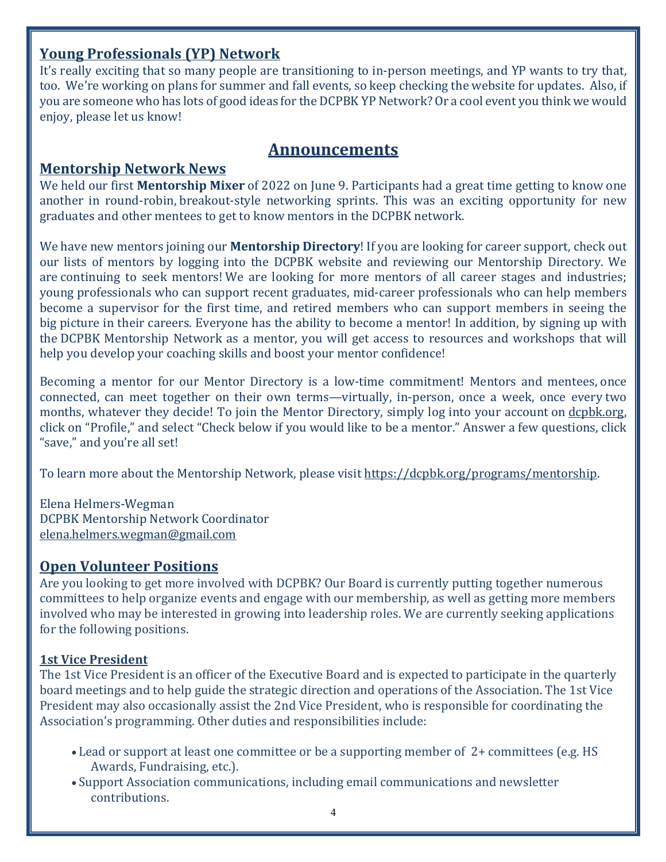## **Young Professionals (YP) Network**

It's really exciting that so many people are transitioning to in-person meetings, and YP wants to try that, too. We're working on plans for summer and fall events, so keep checking the website for updates. Also, if you are someone who has lots of good ideas for the DCPBK YP Network? Or a cool event you think we would enjoy, please let us know!

## **Announcements**

## **Mentorship Network News**

We held our first **Mentorship Mixer** of 2022 on June 9. Participants had a great time getting to know one another in round-robin, breakout-style networking sprints. This was an exciting opportunity for new graduates and other mentees to get to know mentors in the DCPBK network.

We have new mentors joining our **Mentorship Directory**! If you are looking for career support, check out our lists of mentors by logging into the DCPBK website and reviewing our Mentorship Directory. We are continuing to seek mentors! We are looking for more mentors of all career stages and industries; young professionals who can support recent graduates, mid-career professionals who can help members become a supervisor for the first time, and retired members who can support members in seeing the big picture in their careers. Everyone has the ability to become a mentor! In addition, by signing up with the DCPBK Mentorship Network as a mentor, you will get access to resources and workshops that will help you develop your coaching skills and boost your mentor confidence!

Becoming a mentor for our Mentor Directory is a low-time commitment! Mentors and mentees, once connected, can meet together on their own terms—virtually, in-person, once a week, once every two months, whatever they decide! To join the Mentor Directory, simply log into your account on dcpbk.org, click on "Profile," and select "Check below if you would like to be a mentor." Answer a few questions, click "save," and you're all set!

To learn more about the Mentorship Network, please visit https://dcpbk.org/programs/mentorship.

Elena Helmers-Wegman DCPBK Mentorship Network Coordinator elena.helmers.wegman@gmail.com

## **Open Volunteer Positions**

Are you looking to get more involved with DCPBK? Our Board is currently putting together numerous committees to help organize events and engage with our membership, as well as getting more members involved who may be interested in growing into leadership roles. We are currently seeking applications for the following positions.

### **1st Vice President**

The 1st Vice President is an officer of the Executive Board and is expected to participate in the quarterly board meetings and to help guide the strategic direction and operations of the Association. The 1st Vice President may also occasionally assist the 2nd Vice President, who is responsible for coordinating the Association's programming. Other duties and responsibilities include:

- Lead or support at least one committee or be a supporting member of 2+ committees (e.g. HS) Awards, Fundraising, etc.).
- Support Association communications, including email communications and newsletter contributions.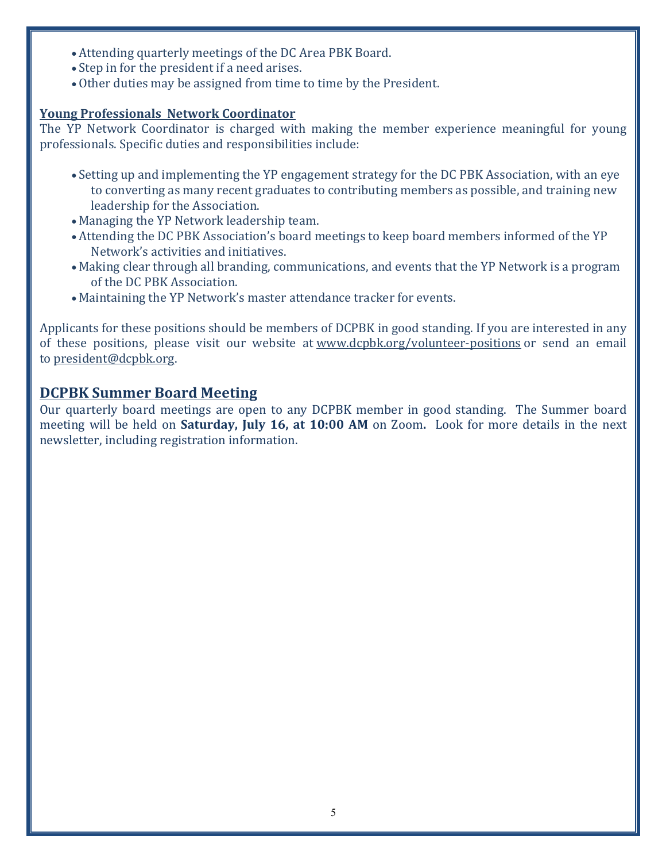- Attending quarterly meetings of the DC Area PBK Board.
- Step in for the president if a need arises.
- Other duties may be assigned from time to time by the President.

### **Young Professionals Network Coordinator**

The YP Network Coordinator is charged with making the member experience meaningful for young professionals. Specific duties and responsibilities include:

- Setting up and implementing the YP engagement strategy for the DC PBK Association, with an eye to converting as many recent graduates to contributing members as possible, and training new leadership for the Association.
- Managing the YP Network leadership team.
- Attending the DC PBK Association's board meetings to keep board members informed of the YP Network's activities and initiatives.
- Making clear through all branding, communications, and events that the YP Network is a program of the DC PBK Association.
- Maintaining the YP Network's master attendance tracker for events.

Applicants for these positions should be members of DCPBK in good standing. If you are interested in any of these positions, please visit our website at www.dcpbk.org/volunteer-positions or send an email to president@dcpbk.org.

## **DCPBK Summer Board Meeting**

Our quarterly board meetings are open to any DCPBK member in good standing. The Summer board meeting will be held on **Saturday, July 16, at 10:00 AM** on Zoom. Look for more details in the next newsletter, including registration information.